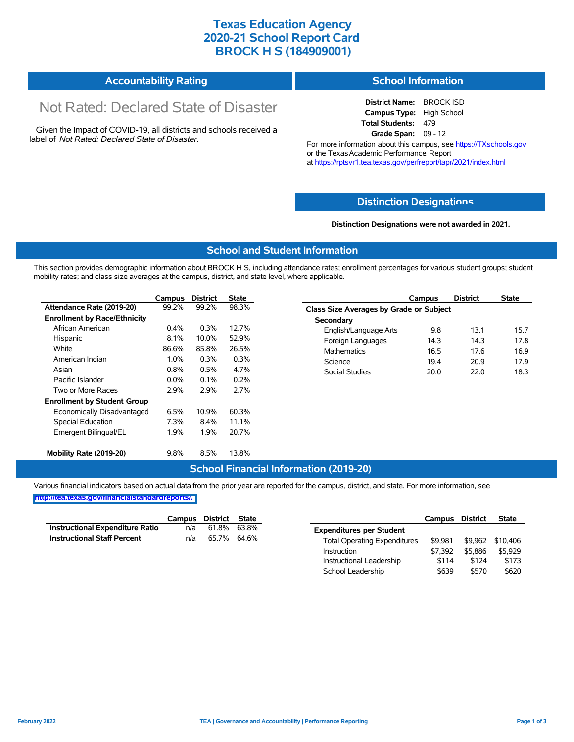## **Texas Education Agency 2020-21 School Report Card BROCK H S (184909001)**

#### **Accountability Rating School Information**

# Not Rated: Declared State of Disaster

Given the Impact of COVID-19, all districts and schools received a label of *Not Rated: Declared State of Disaster.*

**District Name:** BROCK ISD **Campus Type:** High School **Total Students:** 479 **Grade Span:** 09 - 12

For more information about this campus, see https://TXschools.gov or the Texas Academic Performance Report at https://rptsvr1.tea.texas.gov/perfreport/tapr/2021/index.html

#### **Distinction Designat[ions](https://TXschools.gov)**

**Distinction Designations were not awarded in 2021.**

School Leadership  $$639$  \$570 \$620

#### **School and Student Information**

This section provides demographic information about BROCK H S, including attendance rates; enrollment percentages for various student groups; student mobility rates; and class size averages at the campus, district, and state level, where applicable.

|                                     | Campus  | <b>District</b> | <b>State</b> | <b>District</b><br><b>State</b><br>Campus      |  |
|-------------------------------------|---------|-----------------|--------------|------------------------------------------------|--|
| Attendance Rate (2019-20)           | 99.2%   | 99.2%           | 98.3%        | <b>Class Size Averages by Grade or Subject</b> |  |
| <b>Enrollment by Race/Ethnicity</b> |         |                 |              | Secondary                                      |  |
| African American                    | 0.4%    | 0.3%            | 12.7%        | 9.8<br>13.1<br>15.7<br>English/Language Arts   |  |
| Hispanic                            | 8.1%    | 10.0%           | 52.9%        | Foreign Languages<br>14.3<br>14.3<br>17.8      |  |
| White                               | 86.6%   | 85.8%           | 26.5%        | <b>Mathematics</b><br>16.5<br>17.6<br>16.9     |  |
| American Indian                     | $1.0\%$ | 0.3%            | 0.3%         | Science<br>20.9<br>17.9<br>19.4                |  |
| Asian                               | 0.8%    | 0.5%            | 4.7%         | Social Studies<br>22.0<br>18.3<br>20.0         |  |
| Pacific Islander                    | $0.0\%$ | 0.1%            | 0.2%         |                                                |  |
| Two or More Races                   | 2.9%    | 2.9%            | 2.7%         |                                                |  |
| <b>Enrollment by Student Group</b>  |         |                 |              |                                                |  |
| Economically Disadvantaged          | 6.5%    | 10.9%           | 60.3%        |                                                |  |
| Special Education                   | 7.3%    | $8.4\%$         | 11.1%        |                                                |  |
| Emergent Bilingual/EL               | 1.9%    | 1.9%            | 20.7%        |                                                |  |
| Mobility Rate (2019-20)             | 9.8%    | 8.5%            | 13.8%        |                                                |  |

#### **School Financial Information (2019-20)**

Various financial indicators based on actual data from the prior year are reported for the campus, district, and state. For more information, see

**[http://tea.texas.gov/financialstandardreports/.](http://tea.texas.gov/financialstandardreports/)**

|                                        | Campus | District | State |                                     | Campus  | <b>District</b> | <b>State</b> |
|----------------------------------------|--------|----------|-------|-------------------------------------|---------|-----------------|--------------|
| <b>Instructional Expenditure Ratio</b> | n/a    | 61.8%    | 63.8% | <b>Expenditures per Student</b>     |         |                 |              |
| <b>Instructional Staff Percent</b>     | n/a    | 65.7%    | 64.6% | <b>Total Operating Expenditures</b> | \$9.981 | \$9.962         | \$10.406     |
|                                        |        |          |       | Instruction                         | \$7.392 | \$5.886         | \$5.929      |
|                                        |        |          |       | Instructional Leadership            | \$114   | \$124           | \$173        |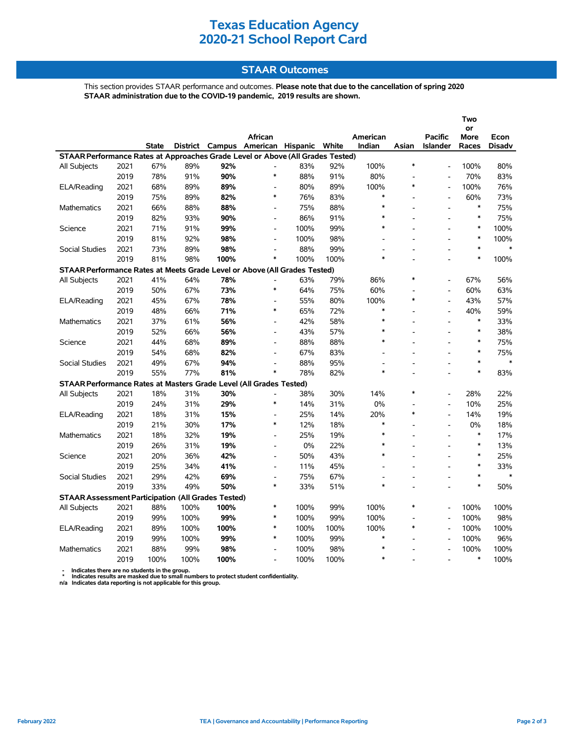# **Texas Education Agency 2020-21 School Report Card**

#### **STAAR Outcomes**

This section provides STAAR performance and outcomes. **Please note that due to the cancellation of spring 2020 STAAR administration due to the COVID-19 pandemic, 2019 results are shown.**

|                                                                                     |      |              |                 |        |                              |       |       |                          |                |                                   | Two           |        |
|-------------------------------------------------------------------------------------|------|--------------|-----------------|--------|------------------------------|-------|-------|--------------------------|----------------|-----------------------------------|---------------|--------|
|                                                                                     |      |              |                 |        |                              |       |       |                          |                |                                   | or            |        |
|                                                                                     |      | <b>State</b> | <b>District</b> | Campus | African<br>American Hispanic |       | White | American<br>Indian       | Asian          | <b>Pacific</b><br><b>Islander</b> | More<br>Races | Econ   |
| STAAR Performance Rates at Approaches Grade Level or Above (All Grades Tested)      |      |              |                 |        |                              |       |       |                          |                |                                   |               | Disadv |
| All Subjects                                                                        | 2021 | 67%          | 89%             | 92%    |                              | 83%   | 92%   | 100%                     | $\ast$         | $\overline{a}$                    | 100%          | 80%    |
|                                                                                     | 2019 | 78%          | 91%             | 90%    | $\ast$                       | 88%   | 91%   | 80%                      |                |                                   | 70%           | 83%    |
| ELA/Reading                                                                         | 2021 | 68%          | 89%             | 89%    | $\overline{a}$               | 80%   | 89%   | 100%                     | $\ast$         | $\overline{\phantom{a}}$          | 100%          | 76%    |
|                                                                                     | 2019 | 75%          | 89%             | 82%    | $\ast$                       | 76%   | 83%   | $\ast$                   |                | $\overline{a}$                    | 60%           | 73%    |
| <b>Mathematics</b>                                                                  | 2021 | 66%          | 88%             | 88%    | $\blacksquare$               | 75%   | 88%   | $\ast$                   |                | $\overline{a}$                    | $\ast$        | 75%    |
|                                                                                     | 2019 | 82%          | 93%             | 90%    | $\blacksquare$               | 86%   | 91%   | $\ast$                   |                |                                   | $\ast$        | 75%    |
| Science                                                                             | 2021 | 71%          | 91%             | 99%    | $\overline{a}$               | 100%  | 99%   | $\ast$                   |                | $\overline{a}$                    | $\ast$        | 100%   |
|                                                                                     | 2019 | 81%          | 92%             | 98%    | $\frac{1}{2}$                | 100%  | 98%   | $\overline{a}$           |                |                                   | $\ast$        | 100%   |
|                                                                                     | 2021 |              |                 | 98%    | $\overline{a}$               | 88%   | 99%   |                          |                |                                   | $\ast$        | $\ast$ |
| Social Studies                                                                      | 2019 | 73%          | 89%             |        | $\ast$                       | 100%  |       | $\ast$                   |                |                                   | $\ast$        |        |
|                                                                                     |      | 81%          | 98%             | 100%   |                              |       | 100%  |                          |                |                                   |               | 100%   |
| STAAR Performance Rates at Meets Grade Level or Above (All Grades Tested)<br>$\ast$ |      |              |                 |        |                              |       |       |                          |                |                                   |               |        |
| All Subjects                                                                        | 2021 | 41%          | 64%             | 78%    | $\ast$                       | 63%   | 79%   | 86%                      |                | $\overline{a}$                    | 67%           | 56%    |
|                                                                                     | 2019 | 50%          | 67%             | 73%    |                              | 64%   | 75%   | 60%                      | $\ast$         | L,                                | 60%           | 63%    |
| ELA/Reading                                                                         | 2021 | 45%          | 67%             | 78%    | $\overline{a}$<br>$\ast$     | 55%   | 80%   | 100%<br>$\ast$           |                | $\overline{a}$                    | 43%           | 57%    |
|                                                                                     | 2019 | 48%          | 66%             | 71%    |                              | 65%   | 72%   | $\ast$                   |                | L,                                | 40%           | 59%    |
| Mathematics                                                                         | 2021 | 37%          | 61%             | 56%    | $\overline{a}$               | 42%   | 58%   | $\ast$                   |                | $\overline{a}$                    | $\ast$        | 33%    |
|                                                                                     | 2019 | 52%          | 66%             | 56%    | $\frac{1}{2}$                | 43%   | 57%   |                          |                | $\overline{a}$                    | $\ast$        | 38%    |
| Science                                                                             | 2021 | 44%          | 68%             | 89%    | $\overline{a}$               | 88%   | 88%   | $\ast$                   |                |                                   | $\ast$        | 75%    |
|                                                                                     | 2019 | 54%          | 68%             | 82%    | $\qquad \qquad \blacksquare$ | 67%   | 83%   | $\overline{\phantom{a}}$ |                |                                   | $\ast$        | 75%    |
| <b>Social Studies</b>                                                               | 2021 | 49%          | 67%             | 94%    | $\blacksquare$               | 88%   | 95%   |                          |                |                                   | $\ast$        | $\ast$ |
|                                                                                     | 2019 | 55%          | 77%             | 81%    | $\ast$                       | 78%   | 82%   | $\ast$                   |                |                                   | $\ast$        | 83%    |
| STAAR Performance Rates at Masters Grade Level (All Grades Tested)                  |      |              |                 |        |                              |       |       |                          |                |                                   |               |        |
| All Subjects                                                                        | 2021 | 18%          | 31%             | 30%    | $\overline{a}$               | 38%   | 30%   | 14%                      | $\ast$         | $\overline{\phantom{a}}$          | 28%           | 22%    |
|                                                                                     | 2019 | 24%          | 31%             | 29%    | $\ast$                       | 14%   | 31%   | 0%                       |                | ۰                                 | 10%           | 25%    |
| ELA/Reading                                                                         | 2021 | 18%          | 31%             | 15%    | $\overline{a}$               | 25%   | 14%   | 20%                      | $\ast$         | $\overline{a}$                    | 14%           | 19%    |
|                                                                                     | 2019 | 21%          | 30%             | 17%    | $\ast$                       | 12%   | 18%   | $\ast$                   |                | $\overline{a}$                    | 0%            | 18%    |
| Mathematics                                                                         | 2021 | 18%          | 32%             | 19%    | $\overline{a}$               | 25%   | 19%   | $\ast$                   |                | $\overline{a}$                    | $\ast$        | 17%    |
|                                                                                     | 2019 | 26%          | 31%             | 19%    | $\overline{a}$               | $0\%$ | 22%   | $\ast$                   |                |                                   | $\ast$        | 13%    |
| Science                                                                             | 2021 | 20%          | 36%             | 42%    | $\overline{a}$               | 50%   | 43%   | $\ast$                   |                |                                   | $\ast$        | 25%    |
|                                                                                     | 2019 | 25%          | 34%             | 41%    | $\qquad \qquad \blacksquare$ | 11%   | 45%   |                          |                |                                   | $\ast$        | 33%    |
| <b>Social Studies</b>                                                               | 2021 | 29%          | 42%             | 69%    | $\overline{\phantom{a}}$     | 75%   | 67%   |                          | L.             |                                   | $\ast$        | $\ast$ |
|                                                                                     | 2019 | 33%          | 49%             | 50%    | $\ast$                       | 33%   | 51%   | *                        | $\overline{a}$ | L,                                | $\ast$        | 50%    |
| <b>STAAR Assessment Participation (All Grades Tested)</b>                           |      |              |                 |        |                              |       |       |                          |                |                                   |               |        |
| All Subjects                                                                        | 2021 | 88%          | 100%            | 100%   | $\ast$                       | 100%  | 99%   | 100%                     | $\ast$         |                                   | 100%          | 100%   |
|                                                                                     | 2019 | 99%          | 100%            | 99%    | $\ast$                       | 100%  | 99%   | 100%                     |                | $\overline{\phantom{a}}$          | 100%          | 98%    |
| ELA/Reading                                                                         | 2021 | 89%          | 100%            | 100%   | $\ast$                       | 100%  | 100%  | 100%                     | $\ast$         | $\overline{a}$                    | 100%          | 100%   |
|                                                                                     | 2019 | 99%          | 100%            | 99%    | $\ast$                       | 100%  | 99%   | $\ast$                   |                | $\overline{a}$                    | 100%          | 96%    |
| <b>Mathematics</b>                                                                  | 2021 | 88%          | 99%             | 98%    | $\overline{a}$               | 100%  | 98%   | $\ast$                   |                |                                   | 100%          | 100%   |
|                                                                                     | 2019 | 100%         | 100%            | 100%   | $\overline{\phantom{a}}$     | 100%  | 100%  | $\ast$                   |                |                                   | $\ast$        | 100%   |

 **- Indicates there are no students in the group. \* Indicates results are masked due to small numbers to protect student confidentiality.**

**n/a Indicates data reporting is not applicable for this group.**